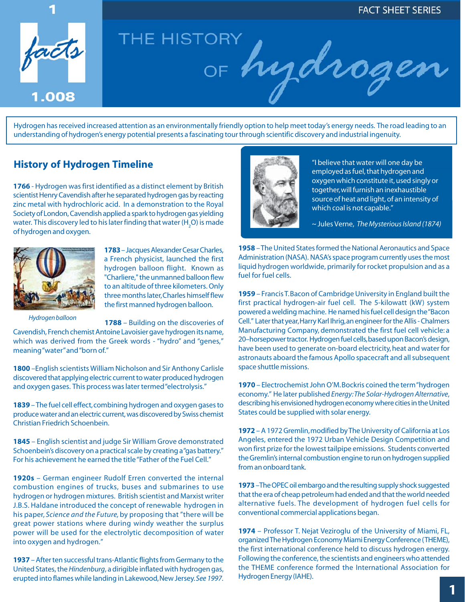

Hydrogen has received increased attention as an environmentally friendly option to help meet today's energy needs. The road leading to an understanding of hydrogen's energy potential presents a fascinating tour through scientific discovery and industrial ingenuity.

## **History of Hydrogen Timeline**

**1766** - Hydrogen was first identified as a distinct element by British scientist Henry Cavendish after he separated hydrogen gas by reacting zinc metal with hydrochloric acid. In a demonstration to the Royal Society of London, Cavendish applied a spark to hydrogen gas yielding water. This discovery led to his later finding that water (H<sub>2</sub>O) is made of hydrogen and oxygen.



**1783** – Jacques Alexander Cesar Charles, a French physicist, launched the first hydrogen balloon flight. Known as "Charliere," the unmanned balloon flew to an altitude of three kilometers. Only three months later, Charles himself flew the first manned hydrogen balloon.

*Hydrogen balloon*

**1788** – Building on the discoveries of Cavendish, French chemist Antoine Lavoisier gave hydrogen its name, which was derived from the Greek words - "hydro" and "genes," meaning "water" and "born of."

**1800** –English scientists William Nicholson and Sir Anthony Carlisle discovered that applying electric current to water produced hydrogen and oxygen gases. This process was later termed "electrolysis."

**1839** – The fuel cell effect, combining hydrogen and oxygen gases to produce water and an electric current, was discovered by Swiss chemist Christian Friedrich Schoenbein.

**1845** – English scientist and judge Sir William Grove demonstrated Schoenbein's discovery on a practical scale by creating a "gas battery." For his achievement he earned the title "Father of the Fuel Cell."

**1920s** – German engineer Rudolf Erren converted the internal combustion engines of trucks, buses and submarines to use hydrogen or hydrogen mixtures. British scientist and Marxist writer J.B.S. Haldane introduced the concept of renewable hydrogen in his paper, *Science and the Future,* by proposing that "there will be great power stations where during windy weather the surplus power will be used for the electrolytic decomposition of water into oxygen and hydrogen."

**1937** – After ten successful trans-Atlantic flights from Germany to the United States, the *Hindenburg*, a dirigible inflated with hydrogen gas, erupted into flames while landing in Lakewood, New Jersey. *See 1997.*



"I believe that water will one day be employed as fuel, that hydrogen and oxygen which constitute it, used singly or together, will furnish an inexhaustible source of heat and light, of an intensity of which coal is not capable."

~ Jules Verne, *The Mysterious Island (1874)*

**1958** – The United States formed the National Aeronautics and Space Administration (NASA). NASA's space program currently uses the most liquid hydrogen worldwide, primarily for rocket propulsion and as a fuel for fuel cells.

**1959** – Francis T. Bacon of Cambridge University in England built the first practical hydrogen-air fuel cell. The 5-kilowatt (kW) system powered a welding machine. He named his fuel cell design the "Bacon Cell." Later that year, Harry Karl Ihrig, an engineer for the Allis - Chalmers Manufacturing Company, demonstrated the first fuel cell vehicle: a 20–horsepower tractor. Hydrogen fuel cells, based upon Bacon's design, have been used to generate on-board electricity, heat and water for astronauts aboard the famous Apollo spacecraft and all subsequent space shuttle missions.

**1970** – Electrochemist John O'M. Bockris coined the term "hydrogen economy." He later published *Energy: The Solar-Hydrogen Alternative*, describing his envisioned hydrogen economy where cities in the United States could be supplied with solar energy.

**1972** – A 1972 Gremlin, modified by The University of California at Los Angeles, entered the 1972 Urban Vehicle Design Competition and won first prize for the lowest tailpipe emissions. Students converted the Gremlin's internal combustion engine to run on hydrogen supplied from an onboard tank.

**1973** –The OPEC oil embargo and the resulting supply shock suggested that the era of cheap petroleum had ended and that the world needed alternative fuels. The development of hydrogen fuel cells for conventional commercial applications began.

**1974** – Professor T. Nejat Veziroglu of the University of Miami, FL, organized The Hydrogen Economy Miami Energy Conference (THEME), the first international conference held to discuss hydrogen energy. Following the conference, the scientists and engineers who attended the THEME conference formed the International Association for Hydrogen Energy (IAHE).